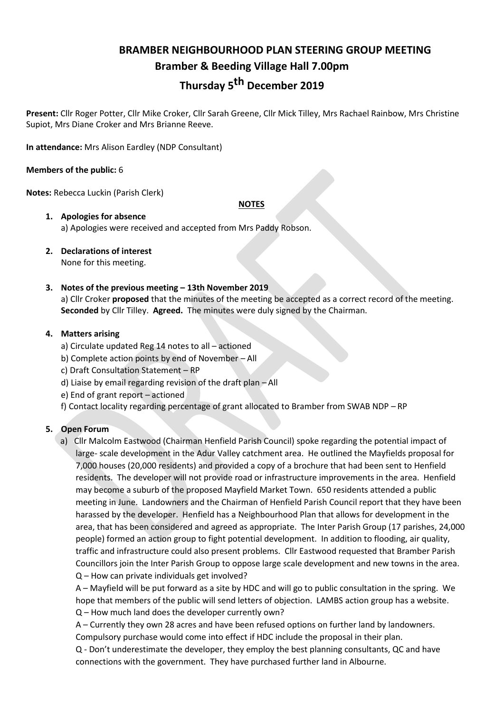# **BRAMBER NEIGHBOURHOOD PLAN STEERING GROUP MEETING Bramber & Beeding Village Hall 7.00pm**

# **Thursday 5th December 2019**

**Present:** Cllr Roger Potter, Cllr Mike Croker, Cllr Sarah Greene, Cllr Mick Tilley, Mrs Rachael Rainbow, Mrs Christine Supiot, Mrs Diane Croker and Mrs Brianne Reeve.

**In attendance:** Mrs Alison Eardley (NDP Consultant)

## **Members of the public:** 6

**Notes:** Rebecca Luckin (Parish Clerk)

**NOTES**

- **1. Apologies for absence** a) Apologies were received and accepted from Mrs Paddy Robson.
- **2. Declarations of interest** None for this meeting.

# **3. Notes of the previous meeting – 13th November 2019**

a) Cllr Croker **proposed** that the minutes of the meeting be accepted as a correct record of the meeting. **Seconded** by Cllr Tilley. **Agreed.** The minutes were duly signed by the Chairman.

# **4. Matters arising**

- a) Circulate updated Reg 14 notes to all actioned
- b) Complete action points by end of November All
- c) Draft Consultation Statement RP
- d) Liaise by email regarding revision of the draft plan All
- e) End of grant report actioned
- f) Contact locality regarding percentage of grant allocated to Bramber from SWAB NDP RP

# **5. Open Forum**

a) Cllr Malcolm Eastwood (Chairman Henfield Parish Council) spoke regarding the potential impact of large- scale development in the Adur Valley catchment area. He outlined the Mayfields proposal for 7,000 houses (20,000 residents) and provided a copy of a brochure that had been sent to Henfield residents. The developer will not provide road or infrastructure improvements in the area. Henfield may become a suburb of the proposed Mayfield Market Town. 650 residents attended a public meeting in June. Landowners and the Chairman of Henfield Parish Council report that they have been harassed by the developer. Henfield has a Neighbourhood Plan that allows for development in the area, that has been considered and agreed as appropriate. The Inter Parish Group (17 parishes, 24,000 people) formed an action group to fight potential development. In addition to flooding, air quality, traffic and infrastructure could also present problems. Cllr Eastwood requested that Bramber Parish Councillors join the Inter Parish Group to oppose large scale development and new towns in the area. Q – How can private individuals get involved?

A – Mayfield will be put forward as a site by HDC and will go to public consultation in the spring. We hope that members of the public will send letters of objection. LAMBS action group has a website. Q – How much land does the developer currently own?

A – Currently they own 28 acres and have been refused options on further land by landowners. Compulsory purchase would come into effect if HDC include the proposal in their plan.

Q - Don't underestimate the developer, they employ the best planning consultants, QC and have connections with the government. They have purchased further land in Albourne.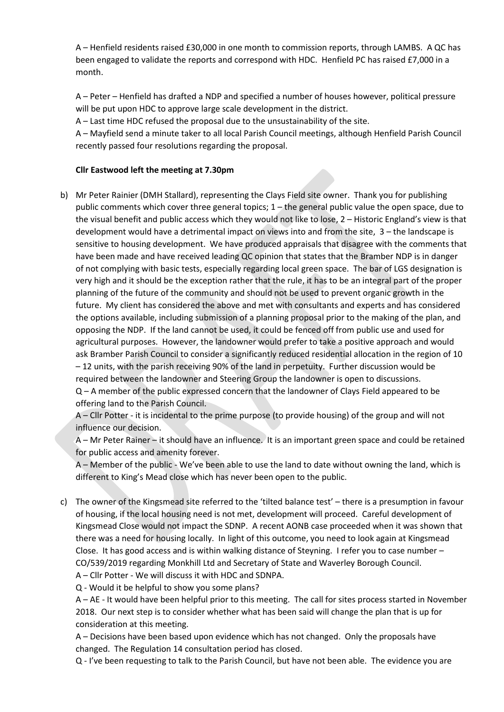A – Henfield residents raised £30,000 in one month to commission reports, through LAMBS. A QC has been engaged to validate the reports and correspond with HDC. Henfield PC has raised £7,000 in a month.

A – Peter – Henfield has drafted a NDP and specified a number of houses however, political pressure will be put upon HDC to approve large scale development in the district.

A – Last time HDC refused the proposal due to the unsustainability of the site.

A – Mayfield send a minute taker to all local Parish Council meetings, although Henfield Parish Council recently passed four resolutions regarding the proposal.

# **Cllr Eastwood left the meeting at 7.30pm**

b) Mr Peter Rainier (DMH Stallard), representing the Clays Field site owner. Thank you for publishing public comments which cover three general topics; 1 – the general public value the open space, due to the visual benefit and public access which they would not like to lose, 2 – Historic England's view is that development would have a detrimental impact on views into and from the site, 3 – the landscape is sensitive to housing development. We have produced appraisals that disagree with the comments that have been made and have received leading QC opinion that states that the Bramber NDP is in danger of not complying with basic tests, especially regarding local green space. The bar of LGS designation is very high and it should be the exception rather that the rule, it has to be an integral part of the proper planning of the future of the community and should not be used to prevent organic growth in the future. My client has considered the above and met with consultants and experts and has considered the options available, including submission of a planning proposal prior to the making of the plan, and opposing the NDP. If the land cannot be used, it could be fenced off from public use and used for agricultural purposes. However, the landowner would prefer to take a positive approach and would ask Bramber Parish Council to consider a significantly reduced residential allocation in the region of 10 – 12 units, with the parish receiving 90% of the land in perpetuity. Further discussion would be required between the landowner and Steering Group the landowner is open to discussions. Q – A member of the public expressed concern that the landowner of Clays Field appeared to be offering land to the Parish Council.

A – Cllr Potter - it is incidental to the prime purpose (to provide housing) of the group and will not influence our decision.

A – Mr Peter Rainer – it should have an influence. It is an important green space and could be retained for public access and amenity forever.

A – Member of the public - We've been able to use the land to date without owning the land, which is different to King's Mead close which has never been open to the public.

c) The owner of the Kingsmead site referred to the 'tilted balance test' – there is a presumption in favour of housing, if the local housing need is not met, development will proceed. Careful development of Kingsmead Close would not impact the SDNP. A recent AONB case proceeded when it was shown that there was a need for housing locally. In light of this outcome, you need to look again at Kingsmead Close. It has good access and is within walking distance of Steyning. I refer you to case number – CO/539/2019 regarding Monkhill Ltd and Secretary of State and Waverley Borough Council. A – Cllr Potter - We will discuss it with HDC and SDNPA.

Q - Would it be helpful to show you some plans?

A – AE - It would have been helpful prior to this meeting. The call for sites process started in November 2018. Our next step is to consider whether what has been said will change the plan that is up for consideration at this meeting.

A – Decisions have been based upon evidence which has not changed. Only the proposals have changed. The Regulation 14 consultation period has closed.

Q - I've been requesting to talk to the Parish Council, but have not been able. The evidence you are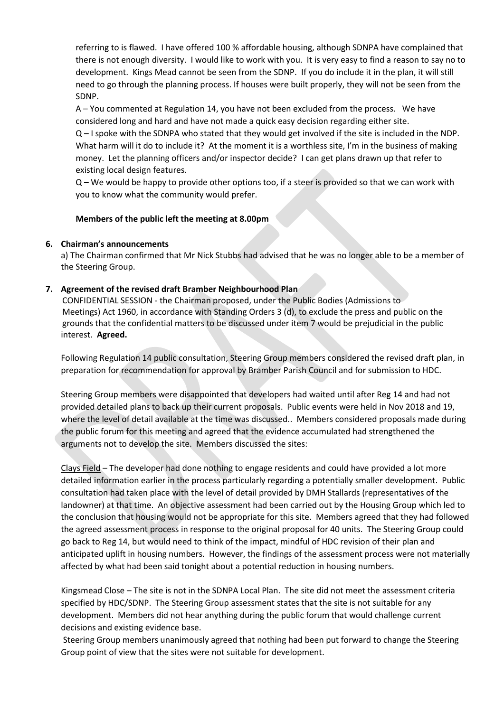referring to is flawed. I have offered 100 % affordable housing, although SDNPA have complained that there is not enough diversity. I would like to work with you. It is very easy to find a reason to say no to development. Kings Mead cannot be seen from the SDNP. If you do include it in the plan, it will still need to go through the planning process. If houses were built properly, they will not be seen from the SDNP.

A – You commented at Regulation 14, you have not been excluded from the process. We have considered long and hard and have not made a quick easy decision regarding either site.

Q – I spoke with the SDNPA who stated that they would get involved if the site is included in the NDP. What harm will it do to include it? At the moment it is a worthless site, I'm in the business of making money. Let the planning officers and/or inspector decide? I can get plans drawn up that refer to existing local design features.

Q – We would be happy to provide other options too, if a steer is provided so that we can work with you to know what the community would prefer.

#### **Members of the public left the meeting at 8.00pm**

#### **6. Chairman's announcements**

a) The Chairman confirmed that Mr Nick Stubbs had advised that he was no longer able to be a member of the Steering Group.

## **7. Agreement of the revised draft Bramber Neighbourhood Plan**

CONFIDENTIAL SESSION - the Chairman proposed, under the Public Bodies (Admissions to Meetings) Act 1960, in accordance with Standing Orders 3 (d), to exclude the press and public on the grounds that the confidential matters to be discussed under item 7 would be prejudicial in the public interest. **Agreed.**

Following Regulation 14 public consultation, Steering Group members considered the revised draft plan, in preparation for recommendation for approval by Bramber Parish Council and for submission to HDC.

Steering Group members were disappointed that developers had waited until after Reg 14 and had not provided detailed plans to back up their current proposals. Public events were held in Nov 2018 and 19, where the level of detail available at the time was discussed.. Members considered proposals made during the public forum for this meeting and agreed that the evidence accumulated had strengthened the arguments not to develop the site. Members discussed the sites:

Clays Field – The developer had done nothing to engage residents and could have provided a lot more detailed information earlier in the process particularly regarding a potentially smaller development. Public consultation had taken place with the level of detail provided by DMH Stallards (representatives of the landowner) at that time. An objective assessment had been carried out by the Housing Group which led to the conclusion that housing would not be appropriate for this site. Members agreed that they had followed the agreed assessment process in response to the original proposal for 40 units. The Steering Group could go back to Reg 14, but would need to think of the impact, mindful of HDC revision of their plan and anticipated uplift in housing numbers. However, the findings of the assessment process were not materially affected by what had been said tonight about a potential reduction in housing numbers.

Kingsmead Close – The site is not in the SDNPA Local Plan. The site did not meet the assessment criteria specified by HDC/SDNP. The Steering Group assessment states that the site is not suitable for any development. Members did not hear anything during the public forum that would challenge current decisions and existing evidence base.

Steering Group members unanimously agreed that nothing had been put forward to change the Steering Group point of view that the sites were not suitable for development.